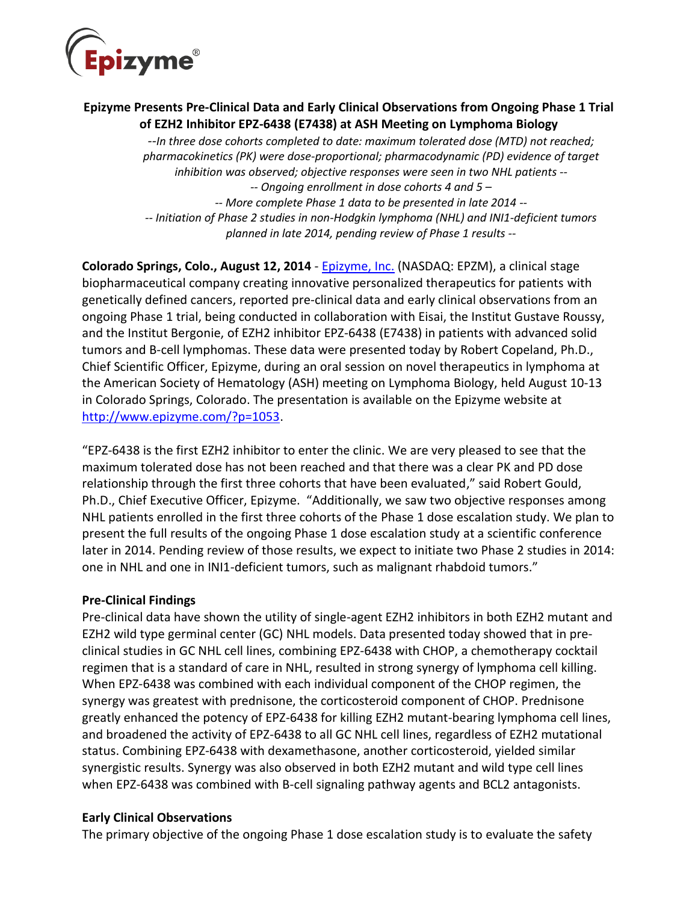

# **Epizyme Presents Pre-Clinical Data and Early Clinical Observations from Ongoing Phase 1 Trial of EZH2 Inhibitor EPZ-6438 (E7438) at ASH Meeting on Lymphoma Biology**

*--In three dose cohorts completed to date: maximum tolerated dose (MTD) not reached; pharmacokinetics (PK) were dose-proportional; pharmacodynamic (PD) evidence of target inhibition was observed; objective responses were seen in two NHL patients -- -- Ongoing enrollment in dose cohorts 4 and 5 – -- More complete Phase 1 data to be presented in late 2014 -- -- Initiation of Phase 2 studies in non-Hodgkin lymphoma (NHL) and INI1-deficient tumors planned in late 2014, pending review of Phase 1 results --*

**Colorado Springs, Colo., August 12, 2014** - [Epizyme, Inc.](http://www.epizyme.com/) (NASDAQ: EPZM), a clinical stage biopharmaceutical company creating innovative personalized therapeutics for patients with genetically defined cancers, reported pre-clinical data and early clinical observations from an ongoing Phase 1 trial, being conducted in collaboration with Eisai, the Institut Gustave Roussy, and the Institut Bergonie, of EZH2 inhibitor EPZ-6438 (E7438) in patients with advanced solid tumors and B-cell lymphomas. These data were presented today by Robert Copeland, Ph.D., Chief Scientific Officer, Epizyme, during an oral session on novel therapeutics in lymphoma at the American Society of Hematology (ASH) meeting on Lymphoma Biology, held August 10-13 in Colorado Springs, Colorado. The presentation is available on the Epizyme website at [http://www.epizyme.com/?p=1053.](http://www.epizyme.com/?p=1053)

"EPZ-6438 is the first EZH2 inhibitor to enter the clinic. We are very pleased to see that the maximum tolerated dose has not been reached and that there was a clear PK and PD dose relationship through the first three cohorts that have been evaluated," said Robert Gould, Ph.D., Chief Executive Officer, Epizyme. "Additionally, we saw two objective responses among NHL patients enrolled in the first three cohorts of the Phase 1 dose escalation study. We plan to present the full results of the ongoing Phase 1 dose escalation study at a scientific conference later in 2014. Pending review of those results, we expect to initiate two Phase 2 studies in 2014: one in NHL and one in INI1-deficient tumors, such as malignant rhabdoid tumors."

### **Pre-Clinical Findings**

Pre-clinical data have shown the utility of single-agent EZH2 inhibitors in both EZH2 mutant and EZH2 wild type germinal center (GC) NHL models. Data presented today showed that in preclinical studies in GC NHL cell lines, combining EPZ-6438 with CHOP, a chemotherapy cocktail regimen that is a standard of care in NHL, resulted in strong synergy of lymphoma cell killing. When EPZ-6438 was combined with each individual component of the CHOP regimen, the synergy was greatest with prednisone, the corticosteroid component of CHOP. Prednisone greatly enhanced the potency of EPZ-6438 for killing EZH2 mutant-bearing lymphoma cell lines, and broadened the activity of EPZ-6438 to all GC NHL cell lines, regardless of EZH2 mutational status. Combining EPZ-6438 with dexamethasone, another corticosteroid, yielded similar synergistic results. Synergy was also observed in both EZH2 mutant and wild type cell lines when EPZ-6438 was combined with B-cell signaling pathway agents and BCL2 antagonists.

### **Early Clinical Observations**

The primary objective of the ongoing Phase 1 dose escalation study is to evaluate the safety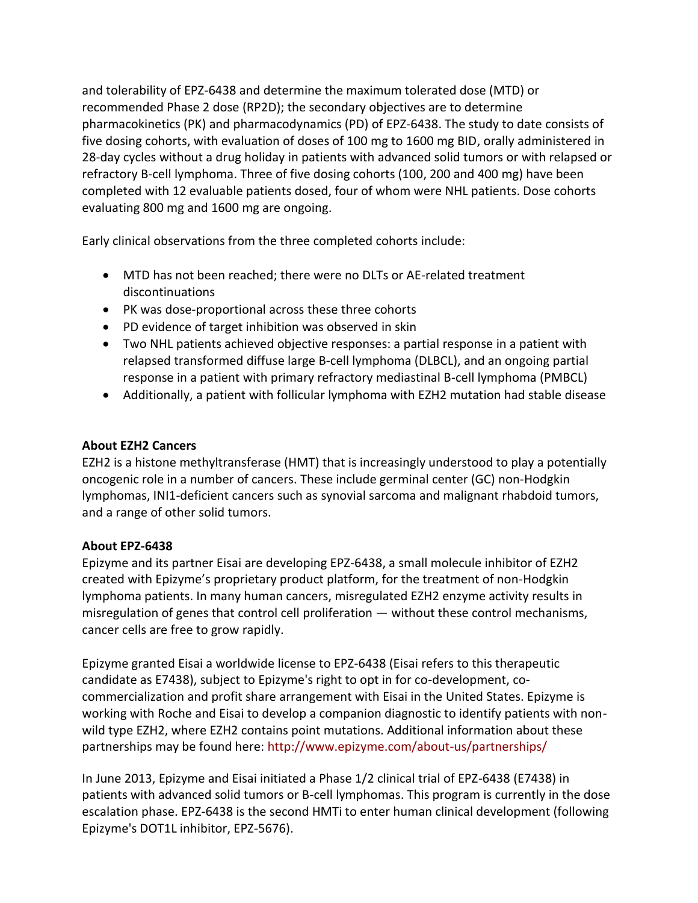and tolerability of EPZ-6438 and determine the maximum tolerated dose (MTD) or recommended Phase 2 dose (RP2D); the secondary objectives are to determine pharmacokinetics (PK) and pharmacodynamics (PD) of EPZ-6438. The study to date consists of five dosing cohorts, with evaluation of doses of 100 mg to 1600 mg BID, orally administered in 28-day cycles without a drug holiday in patients with advanced solid tumors or with relapsed or refractory B-cell lymphoma. Three of five dosing cohorts (100, 200 and 400 mg) have been completed with 12 evaluable patients dosed, four of whom were NHL patients. Dose cohorts evaluating 800 mg and 1600 mg are ongoing.

Early clinical observations from the three completed cohorts include:

- MTD has not been reached; there were no DLTs or AE-related treatment discontinuations
- PK was dose-proportional across these three cohorts
- PD evidence of target inhibition was observed in skin
- Two NHL patients achieved objective responses: a partial response in a patient with relapsed transformed diffuse large B-cell lymphoma (DLBCL), and an ongoing partial response in a patient with primary refractory mediastinal B-cell lymphoma (PMBCL)
- Additionally, a patient with follicular lymphoma with EZH2 mutation had stable disease

# **About EZH2 Cancers**

EZH2 is a histone methyltransferase (HMT) that is increasingly understood to play a potentially oncogenic role in a number of cancers. These include germinal center (GC) non-Hodgkin lymphomas, INI1-deficient cancers such as synovial sarcoma and malignant rhabdoid tumors, and a range of other solid tumors.

# **About EPZ-6438**

Epizyme and its partner Eisai are developing EPZ-6438, a small molecule inhibitor of EZH2 created with Epizyme's proprietary product platform, for the treatment of non-Hodgkin lymphoma patients. In many human cancers, misregulated EZH2 enzyme activity results in misregulation of genes that control cell proliferation — without these control mechanisms, cancer cells are free to grow rapidly.

Epizyme granted Eisai a worldwide license to EPZ-6438 (Eisai refers to this therapeutic candidate as E7438), subject to Epizyme's right to opt in for co-development, cocommercialization and profit share arrangement with Eisai in the United States. Epizyme is working with Roche and Eisai to develop a companion diagnostic to identify patients with nonwild type EZH2, where EZH2 contains point mutations. Additional information about these partnerships may be found here: <http://www.epizyme.com/about-us/partnerships/>

In June 2013, Epizyme and Eisai initiated a Phase 1/2 clinical trial of EPZ-6438 (E7438) in patients with advanced solid tumors or B-cell lymphomas. This program is currently in the dose escalation phase. EPZ-6438 is the second HMTi to enter human clinical development (following Epizyme's DOT1L inhibitor, EPZ-5676).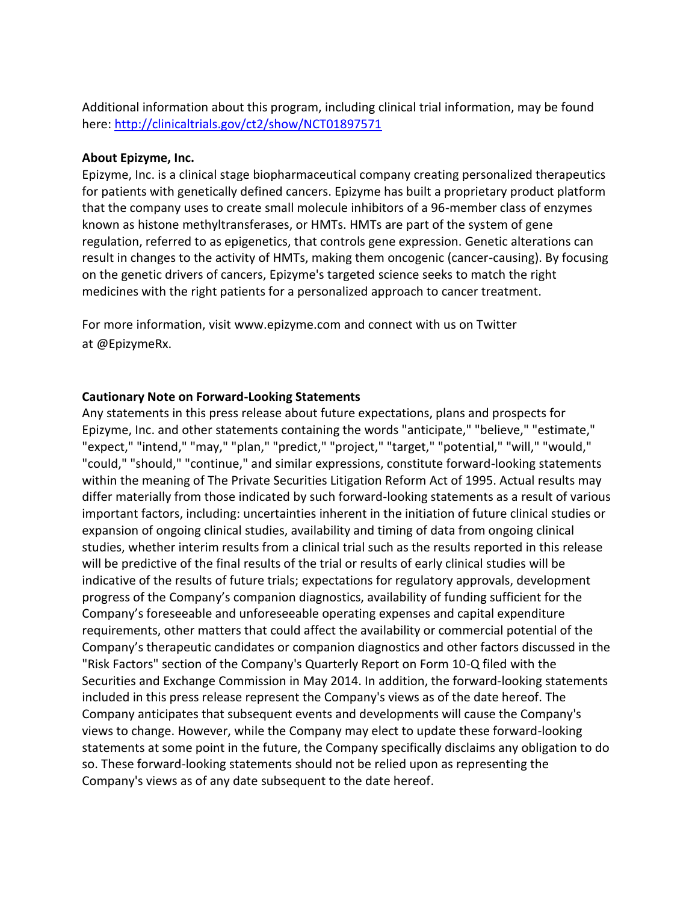Additional information about this program, including clinical trial information, may be found here: <http://clinicaltrials.gov/ct2/show/NCT01897571>

#### **About Epizyme, Inc.**

Epizyme, Inc. is a clinical stage biopharmaceutical company creating personalized therapeutics for patients with genetically defined cancers. Epizyme has built a proprietary product platform that the company uses to create small molecule inhibitors of a 96-member class of enzymes known as histone methyltransferases, or HMTs. HMTs are part of the system of gene regulation, referred to as epigenetics, that controls gene expression. Genetic alterations can result in changes to the activity of HMTs, making them oncogenic (cancer-causing). By focusing on the genetic drivers of cancers, Epizyme's targeted science seeks to match the right medicines with the right patients for a personalized approach to cancer treatment.

For more information, visit [www.epizyme.com](http://www.epizyme.com/) and connect with us on Twitter at [@EpizymeRx.](https://twitter.com/epizymerx)

#### **Cautionary Note on Forward-Looking Statements**

Any statements in this press release about future expectations, plans and prospects for Epizyme, Inc. and other statements containing the words "anticipate," "believe," "estimate," "expect," "intend," "may," "plan," "predict," "project," "target," "potential," "will," "would," "could," "should," "continue," and similar expressions, constitute forward-looking statements within the meaning of The Private Securities Litigation Reform Act of 1995. Actual results may differ materially from those indicated by such forward-looking statements as a result of various important factors, including: uncertainties inherent in the initiation of future clinical studies or expansion of ongoing clinical studies, availability and timing of data from ongoing clinical studies, whether interim results from a clinical trial such as the results reported in this release will be predictive of the final results of the trial or results of early clinical studies will be indicative of the results of future trials; expectations for regulatory approvals, development progress of the Company's companion diagnostics, availability of funding sufficient for the Company's foreseeable and unforeseeable operating expenses and capital expenditure requirements, other matters that could affect the availability or commercial potential of the Company's therapeutic candidates or companion diagnostics and other factors discussed in the "Risk Factors" section of the Company's Quarterly Report on Form 10-Q filed with the Securities and Exchange Commission in May 2014. In addition, the forward-looking statements included in this press release represent the Company's views as of the date hereof. The Company anticipates that subsequent events and developments will cause the Company's views to change. However, while the Company may elect to update these forward-looking statements at some point in the future, the Company specifically disclaims any obligation to do so. These forward-looking statements should not be relied upon as representing the Company's views as of any date subsequent to the date hereof.